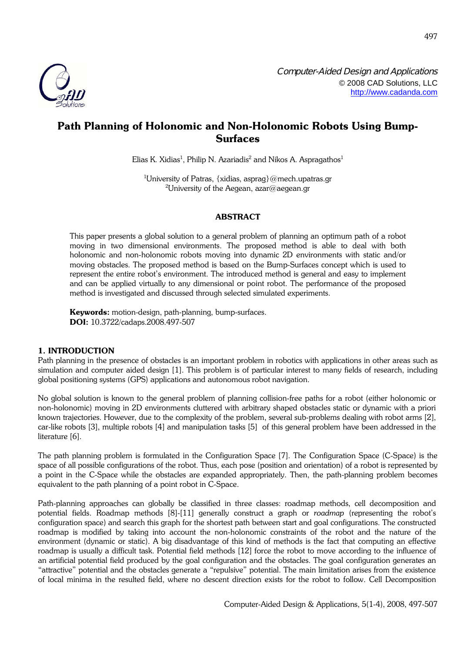

# **Path Planning of Holonomic and Non-Holonomic Robots Using Bump-Surfaces**

Elias K. Xidias $^1$ , Philip N. Azariadis $^2$  and Nikos A. Aspragathos $^1$ 

<sup>1</sup>University of Patras, {xidias, asprag}@mech.upatras.gr <sup>2</sup>University of the Aegean, azar@aegean.gr

# **ABSTRACT**

This paper presents a global solution to a general problem of planning an optimum path of a robot moving in two dimensional environments. The proposed method is able to deal with both holonomic and non-holonomic robots moving into dynamic 2D environments with static and/or moving obstacles. The proposed method is based on the Bump-Surfaces concept which is used to represent the entire robot's environment. The introduced method is general and easy to implement and can be applied virtually to any dimensional or point robot. The performance of the proposed method is investigated and discussed through selected simulated experiments.

**Keywords:** motion-design, path-planning, bump-surfaces. **DOI:** 10.3722/cadaps.2008.497-507

# **1. INTRODUCTION**

Path planning in the presence of obstacles is an important problem in robotics with applications in other areas such as simulation and computer aided design [\[1\]](#page-10-0). This problem is of particular interest to many fields of research, including global positioning systems (GPS) applications and autonomous robot navigation.

No global solution is known to the general problem of planning collision-free paths for a robot (either holonomic or non-holonomic) moving in 2D environments cluttered with arbitrary shaped obstacles static or dynamic with a priori known trajectories. However, due to the complexity of the problem, several sub-problems dealing with robot arms [\[2\],](#page-10-1) car-like robots [\[3\]](#page-10-2), multiple robots [\[4\]](#page-10-3) and manipulation tasks [\[5\]](#page-10-4) of this general problem have been addressed in the literature [\[6\]](#page-10-5).

The path planning problem is formulated in the Configuration Space [\[7\]](#page-10-6). The Configuration Space (C-Space) is the space of all possible configurations of the robot. Thus, each pose (position and orientation) of a robot is represented by a point in the C-Space while the obstacles are expanded appropriately. Then, the path-planning problem becomes equivalent to the path planning of a point robot in C-Space.

Path-planning approaches can globally be classified in three classes: roadmap methods, cell decomposition and potential fields. Roadmap methods [\[8\]](#page-10-7)[-\[11\]](#page-10-8) generally construct a graph or *roadmap* (representing the robot's configuration space) and search this graph for the shortest path between start and goal configurations. The constructed roadmap is modified by taking into account the non-holonomic constraints of the robot and the nature of the environment (dynamic or static). A big disadvantage of this kind of methods is the fact that computing an effective roadmap is usually a difficult task. Potential field methods [\[12\]](#page-10-9) force the robot to move according to the influence of an artificial potential field produced by the goal configuration and the obstacles. The goal configuration generates an "attractive" potential and the obstacles generate a "repulsive" potential. The main limitation arises from the existence of local minima in the resulted field, where no descent direction exists for the robot to follow. Cell Decomposition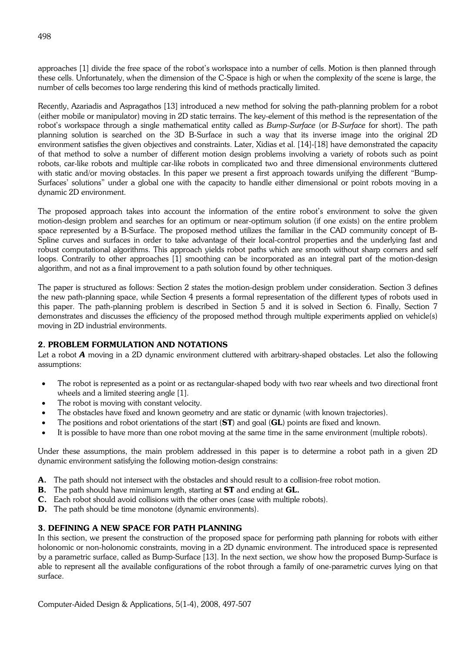approaches [\[1\]](#page-10-0) divide the free space of the robot's workspace into a number of cells. Motion is then planned through these cells. Unfortunately, when the dimension of the C-Space is high or when the complexity of the scene is large, the number of cells becomes too large rendering this kind of methods practically limited.

Recently, Azariadis and Aspragathos [\[13\]](#page-10-10) introduced a new method for solving the path-planning problem for a robot (either mobile or manipulator) moving in 2D static terrains. The key-element of this method is the representation of the robot's workspace through a single mathematical entity called as *Bump-Surface* (or *B-Surface* for short). The path planning solution is searched on the 3D B-Surface in such a way that its inverse image into the original 2D environment satisfies the given objectives and constraints. Later, Xidias et al. [\[14\]-](#page-10-11)[\[18\]](#page-10-12) have demonstrated the capacity of that method to solve a number of different motion design problems involving a variety of robots such as point robots, car-like robots and multiple car-like robots in complicated two and three dimensional environments cluttered with static and/or moving obstacles. In this paper we present a first approach towards unifying the different "Bump-Surfaces' solutions" under a global one with the capacity to handle either dimensional or point robots moving in a dynamic 2D environment.

The proposed approach takes into account the information of the entire robot's environment to solve the given motion-design problem and searches for an optimum or near-optimum solution (if one exists) on the entire problem space represented by a B-Surface. The proposed method utilizes the familiar in the CAD community concept of B-Spline curves and surfaces in order to take advantage of their local-control properties and the underlying fast and robust computational algorithms. This approach yields robot paths which are smooth without sharp corners and self loops. Contrarily to other approaches [\[1\]](#page-10-0) smoothing can be incorporated as an integral part of the motion-design algorithm, and not as a final improvement to a path solution found by other techniques.

The paper is structured as follows: Section 2 states the motion-design problem under consideration. Section 3 defines the new path-planning space, while Section 4 presents a formal representation of the different types of robots used in this paper. The path-planning problem is described in Section 5 and it is solved in Section 6. Finally, Section 7 demonstrates and discusses the efficiency of the proposed method through multiple experiments applied on vehicle(s) moving in 2D industrial environments.

# **2. PROBLEM FORMULATION AND NOTATIONS**

Let a robot *A* moving in a 2D dynamic environment cluttered with arbitrary-shaped obstacles. Let also the following assumptions:

- The robot is represented as a point or as rectangular-shaped body with two rear wheels and two directional front wheels and a limited steering angle [\[1\]](#page-10-0).
- The robot is moving with constant velocity.
- The obstacles have fixed and known geometry and are static or dynamic (with known trajectories).
- The positions and robot orientations of the start (**ST**) and goal (**GL**) points are fixed and known.
- It is possible to have more than one robot moving at the same time in the same environment (multiple robots).

Under these assumptions, the main problem addressed in this paper is to determine a robot path in a given 2D dynamic environment satisfying the following motion-design constrains:

- **A.** The path should not intersect with the obstacles and should result to a collision-free robot motion.
- **B.** The path should have minimum length, starting at **ST** and ending at **GL.**
- **C.** Each robot should avoid collisions with the other ones (case with multiple robots).
- **D.** The path should be time monotone (dynamic environments).

# **3. DEFINING A NEW SPACE FOR PATH PLANNING**

In this section, we present the construction of the proposed space for performing path planning for robots with either holonomic or non-holonomic constraints, moving in a 2D dynamic environment. The introduced space is represented by a parametric surface, called as Bump-Surface [\[13\]](#page-10-10). In the next section, we show how the proposed Bump-Surface is able to represent all the available configurations of the robot through a family of one-parametric curves lying on that surface.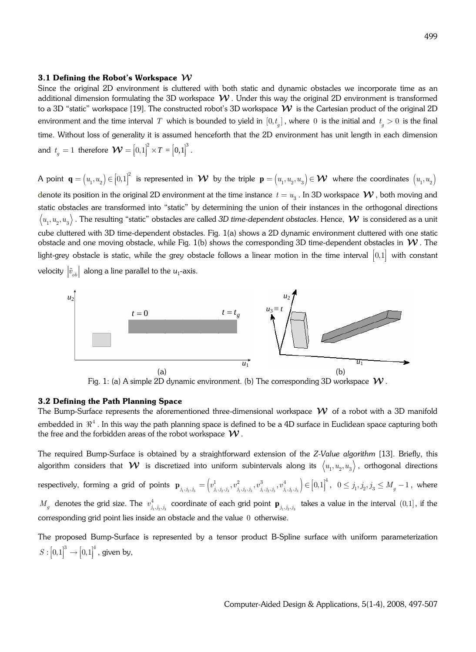#### **3.1 Defining the Robot's Workspace**

Since the original 2D environment is cluttered with both static and dynamic obstacles we incorporate time as an additional dimension formulating the 3D workspace  $W$  . Under this way the original 2D environment is transformed to a 3D "static" workspace [\[19\]](#page-10-13). The constructed robot's 3D workspace  $W$  is the Cartesian product of the original 2D environment and the time interval  $T$  which is bounded to yield in  $[0,t_{_g}]$  , where  $\,0\,$  is the initial and  $\,t_{_g}>0\,$  is the final time. Without loss of generality it is assumed henceforth that the 2D environment has unit length in each dimension and  $t_g = 1$  therefore  $\boldsymbol{\mathcal{W}} = \left[0,1\right]^2 \times T = \left[0,1\right]^3$ .

A point  $\mathbf{q} = (u_1, u_2) \in [0,1]^2$  is represented in  $\mathcal{W}$  by the triple  $\mathbf{p} = (u_1, u_2, u_3) \in \mathcal{W}$  where the coordinates  $(u_1, u_2)$ denote its position in the original 2D environment at the time instance  $\,t=u_{_3}$  . In 3D workspace  $\,\mathcal{W}$  , both moving and static obstacles are transformed into "static" by determining the union of their instances in the orthogonal directions  $\langle u_i, u_j, u_3\rangle$  . The resulting "static" obstacles are called *3D time-dependent obstacles*. Hence,  $\bm{\mathcal{W}}$  is considered as a unit cube cluttered with 3D time-dependent obstacles. [Fig.](#page-2-0) 1(a) shows a 2D dynamic environment cluttered with one static obstacle and one moving obstacle, while [Fig.](#page-2-0) 1(b) shows the corresponding 3D time-dependent obstacles in  $W$ . The light-grey obstacle is static, while the grey obstacle follows a linear motion in the time interval  $[0,1]$  with constant velocity  $\left| \tilde{v}_{ob} \right|$  along a line parallel to the  $u_1$ -axis.



<span id="page-2-0"></span>Fig. 1: (a) A simple 2D dynamic environment. (b) The corresponding 3D workspace  $W$ .

#### **3.2 Defining the Path Planning Space**

The Bump-Surface represents the aforementioned three-dimensional workspace  $\cal W$  of a robot with a 3D manifold embedded in  $\mathbb{R}^4$ . In this way the path planning space is defined to be a 4D surface in Euclidean space capturing both the free and the forbidden areas of the robot workspace  $\boldsymbol{\mathcal{W}}$  .

The required Bump-Surface is obtained by a straightforward extension of the *Z-Value algorithm* [\[13\]](#page-10-10). Briefly, this algorithm considers that  $\bm{\mathcal{W}}$  is discretized into uniform subintervals along its  $\langle u_1, u_2, u_3 \rangle$ , orthogonal directions respectively, forming a grid of points  $\mathbf{p}_{j_1, j_2, j_3} = \left( v^1_{j_1, j_2, j_3}, v^2_{j_1, j_2, j_3}, v^3_{j_1, j_2, j_3}, v^4_{j_1, j_2, j_3} \right) \in \left[0,1\right]^4, \ \ 0 \leq j_1, j_2, j_3 \leq M_g-1 \ , \ \text{where}$  $M_{g}$  denotes the grid size. The  $v_{j_{1},j_{2},j_{3}}^{4}$  $v^4_{j_1,j_2,j_3}$  coordinate of each grid point  $\mathbf{p}_{j_1,j_2,j_3}$  takes a value in the interval  $(0,1]$ , if the corresponding grid point lies inside an obstacle and the value 0 otherwise.

The proposed Bump-Surface is represented by a tensor product B-Spline surface with uniform parameterization  $S: [0,1]^3 \rightarrow [0,1]^4$ , given by,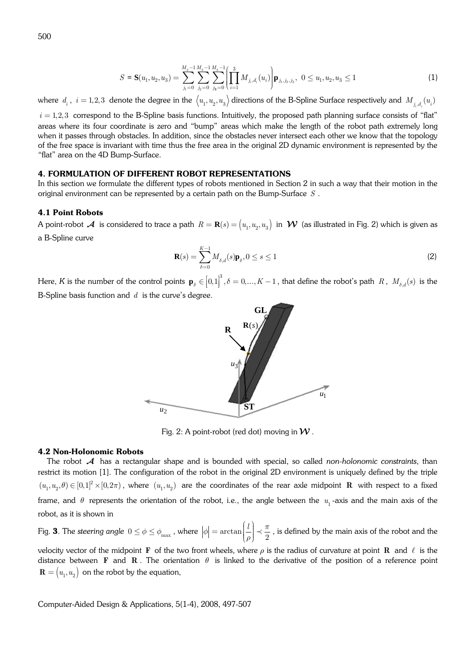$$
S = \mathbf{S}(u_1, u_2, u_3) = \sum_{j_1=0}^{M_g-1} \sum_{j_2=0}^{M_g-1} \sum_{j_3=0}^{M_g-1} \left( \prod_{i=1}^3 M_{j_i, d_i}(u_i) \right) \mathbf{p}_{j_1, j_2, j_3}, \ \ 0 \le u_1, u_2, u_3 \le 1 \tag{1}
$$

where  $d_i$  ,  $i=1,2,3$  denote the degree in the  $\big\langle u_1,u_2,u_3\big\rangle$  directions of the B-Spline Surface respectively and  $M_{j_i,d_i}(u_i)$ 

 $i = 1,2,3$  correspond to the B-Spline basis functions. Intuitively, the proposed path planning surface consists of "flat" areas where its four coordinate is zero and "bump" areas which make the length of the robot path extremely long when it passes through obstacles. In addition, since the obstacles never intersect each other we know that the topology of the free space is invariant with time thus the free area in the original 2D dynamic environment is represented by the "flat" area on the 4D Bump-Surface.

## **4. FORMULATION OF DIFFERENT ROBOT REPRESENTATIONS**

In this section we formulate the different types of robots mentioned in Section 2 in such a way that their motion in the original environment can be represented by a certain path on the Bump-Surface *S* .

## **4.1 Point Robots**

A point-robot  $\mathcal A$  is considered to trace a path  $R=\mathbf R(s)=\big(u_i,u_j,u_s\big)$  in  $\mathcal W$  (as illustrated in [Fig.](#page-3-0) 2) which is given as a B-Spline curve

$$
\mathbf{R}(s) = \sum_{\delta=0}^{K-1} M_{\delta,d}(s) \mathbf{p}_{\delta}, 0 \le s \le 1
$$
\n(2)

Here,  $K$  is the number of the control points  $\mathbf{p}_s \in \left[0,1\right]^3$  $\mathcal{L}_{\delta} \in [0,1]^{\circ}, \delta = 0,..., K-1$ , that define the robot's path *R*,  $M_{\delta,d}(s)$  is the Į ļ B-Spline basis function and *d* is the curve's degree.



<span id="page-3-0"></span>Fig. 2: A point-robot (red dot) moving in  $\mathcal W$ .

#### **4.2 Non-Holonomic Robots**

The robot  $A$  has a rectangular shape and is bounded with special, so called *non-holonomic constraints*, than restrict its [motio](#page-10-0)n [1]. The configuration of the robot in the original 2D environment is uniquely defined by the triple  $(u_1, u_2, \theta) \in [0,1]^2 \times [0,2\pi)$ , where  $(u_1, u_2)$  are the coordinates of the rear axle midpoint **R** with respect to a fixed frame, and  $\theta$  represents the orientation of the robot, i.e., the angle between the  $u_{_1}$ -axis and the main axis of the robot, as it is shown in

Fig. **3**. The steering an[gle](#page-4-0)  $0 \le \phi \le \phi_{\text{max}}$  , where  $|\phi| = \arctan\left(\frac{e}{\rho}\right) \prec \frac{\pi}{2}$  $\phi$  =  $\arctan\left(\frac{l}{\rho}\right) \prec \frac{\pi}{2}$  $\displaystyle{v=\arctan\biggl(\frac{l}{\rho}\biggr)<\frac{\pi}{2}}$  , is defined by the main axis of the robot and the

velocity vector of the midpoint **F** of the two front wheels, where  $\rho$  is the radius of curvature at point **R** and  $\ell$  is the distance between **F** and **R**. The orientation  $\theta$  is linked to the derivative of the position of a reference point  $\mathbf{R} = (u_1, u_2)$  on the robot by the equation,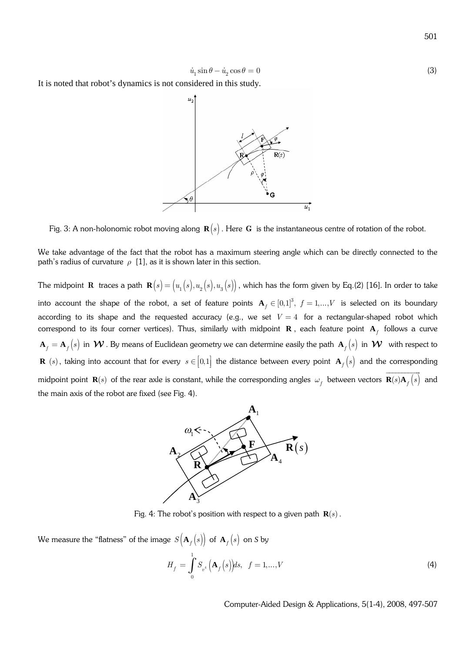$$
\dot{u}_1 \sin \theta - \dot{u}_2 \cos \theta = 0 \tag{3}
$$

It is noted that robot's dynamics is not considered in this study.

<span id="page-4-0"></span>

Fig. 3: A non-holonomic robot moving along  $\mathbf{R}(s)$ . Here G is the instantaneous centre of rotation of the robot.

We take advantage of thef[act t](#page-10-0)hat the robot has a maximum steering angle which can be directly connected to the path's radius of curvature  $\rho$  [1], as it is shown later in this section.

The midpoint **R** traces a path  $\mathbf{R}(s) = (u_1(s), u_2(s), u_3(s))$ , which has the form given by Eq.(2) [16]*.* In order to take into account the shape of the robot, a set of feature points  $\mathbf{A}_f \in [0,1]^3$ ,  $f = 1,..., V$  is selected on its boundary according to its shape and the requested accuracy (e.g., we set  $V = 4$  for a rectangular-shaped robot which correspond to its four corner vertices). Thus, similarly with midpoint  $\bf R$  , each feature point  ${\bf A}_f$  follows a curve  $A_f = A_f(s)$  in  $W$  . By means of Euclidean geometry we can determine easily the path  $A_f(s)$  in  $W$  with respect to **R**  $(s)$ , taking into account that for every  $s \in [0,1]$  the distance between every point  $\mathbf{A}_f(s)$  and the corresponding midpointpoint  $\mathbf{R}(s)$  of the rear axle is [constan](#page-4-1)t, while the corresponding angles  $\omega_f$  between vectors  $\mathbf{R}(s)\mathbf{A}_f\big(s\big)$  $\overline{\phantom{a}}$ and the main axis of the robot are fixed (see Fig. 4).



<span id="page-4-1"></span>Fig. 4: The robot's position with respect to a given path  $\mathbf{R}(s)$ .

We measure the "flatness" of the image  $S({\bf A}_f(s))$  of  ${\bf A}_f(s)$  on *S* by

$$
H_f = \int_0^1 S_{v^4} (\mathbf{A}_f (s)) ds, \quad f = 1,...,V
$$
\n(4)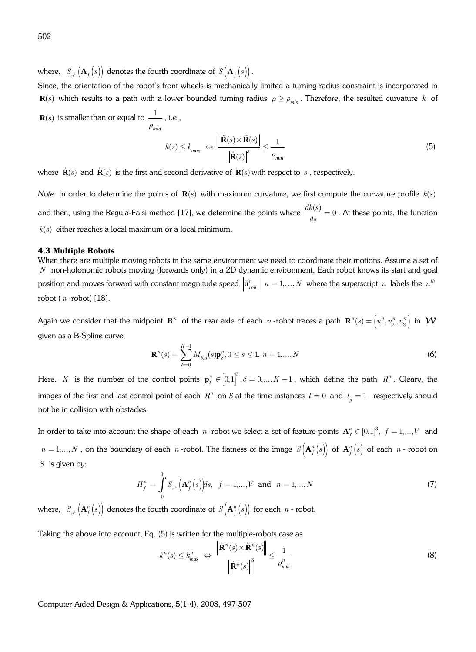where,  $\left. S_{v^4}\left(\mathbf{A}_f\left(s\right)\right)$  denotes the fourth coordinate of  $\left. S\big(\mathbf{A}_f\left(s\right)\right).$ 

Since, the orientation of the robot's front wheels is mechanically limited a turning radius constraint is incorporated in  $\mathbf{R}(s)$  which results to a path with a lower bounded turning radius  $\rho \ge \rho_{\min}$ . Therefore, the resulted curvature *k* of

 $\mathbf{R}(s)$  is smaller than or equal to  $\mathbf{-}\frac{1}{s}$ *min*  $\rho$ , i.e.,

<span id="page-5-0"></span>
$$
k(s) \le k_{\text{max}} \iff \frac{\|\dot{\mathbf{R}}(s) \times \ddot{\mathbf{R}}(s)\|}{\|\dot{\mathbf{R}}(s)\|^3} \le \frac{1}{\rho_{\text{min}}} \tag{5}
$$

where  $\dot{\mathbf{R}}(s)$  and  $\ddot{\mathbf{R}}(s)$  is the first and second derivative of  $\mathbf{R}(s)$  with respect to  $\,s$  , respectively.

*Note:* In order to determine the points of  $\mathbf{R}(s)$  $\mathbf{R}(s)$  $\mathbf{R}(s)$  with maximum curvature, we first compute the curvature profile  $k(s)$ and then, using the Regula-Falsi method [17], we determine the points where  $\frac{dk(s)}{dr} = 0$  $\frac{dS(t)}{ds} = 0$ . At these points, the function  $k(s)$  either reaches a local maximum or a local minimum.

## **4.3 Multiple Robots**

When there are multiple moving robots in the same environment we need to coordinate their motions. Assume a set of *N* non-holonomic robots moving (forwards only) in a 2D dynamic environment. Each robot knows its start and goal position and mo[ves fo](#page-10-12)rward with constant magnitude speed  $\left|\tilde{\mathbf{u}}^n_{rob}\right|$   $n=1,\ldots,N$  where the superscript  $n$  labels the  $n^{th}$ robot (*n* -robot) [18].

Again we consider that the midpoint  $\mathbf{R}^n$  of the rear axle of each  $\,$  -robot traces a path  $\, \mathbf{R}^n(s) = \left(u_1^n,u_2^n,u_3^n\right)$  in  $\, \mathcal{W}$ given as a B-Spline curve,

<span id="page-5-1"></span>
$$
\mathbf{R}^{n}(s) = \sum_{\delta=0}^{K-1} M_{\delta,d}(s) \mathbf{p}_{\delta}^{n}, 0 \le s \le 1, n = 1,...,N
$$
\n(6)

Here, *K* is the number of the control points  $\mathbf{p}_{\delta}^{n} \in [0,1]^3$ ,  $\delta = 0,..., K-1$ , which define the path  $R^n$ . Cleary, the Į 1 J images of the first and last control point of each  $R^n$  on  $S$  at the time instances  $t = 0$  and  $t_g = 1$  respectively should not be in collision with obstacles.

In order to take into account the shape of each  $n$  -robot we select a set of feature points  $\mathbf{A}_f^n\in[0,1]^3,\,\,f=1,...,V$  and  $n = 1,..., N$  , on the boundary of each  $n$  -robot. The flatness of the image  $S\left(\mathbf{A}_{f}^{n}\left(s\right)\right)$  of  $\mathbf{A}_{f}^{n}\left(s\right)$  of each  $n$  - robot on *S* is given by:

$$
H_f^n = \int_0^1 S_{v^4} \left( \mathbf{A}_f^n \left( s \right) \right) ds, \ \ f = 1, ..., V \ \text{and} \ \ n = 1, ..., N \tag{7}
$$

where,  $\ S_{v^4}\left({\bf A}_{f}^{n}\left(s\right)\right)$  denotes the fo[urth](#page-5-0) coordinate of  $S\big({\bf A}_{f}^{n}\left(s\right)\big)$  for each  $\,$  - robot.

Taking the above into account, Eq. (5) is written for the multiple-robots case as

$$
k^{n}(s) \leq k_{max}^{n} \iff \frac{\left\| \dot{\mathbf{R}}^{n}(s) \times \ddot{\mathbf{R}}^{n}(s) \right\|}{\left\| \dot{\mathbf{R}}^{n}(s) \right\|^{3}} \leq \frac{1}{\rho_{min}^{n}}
$$
\n(8)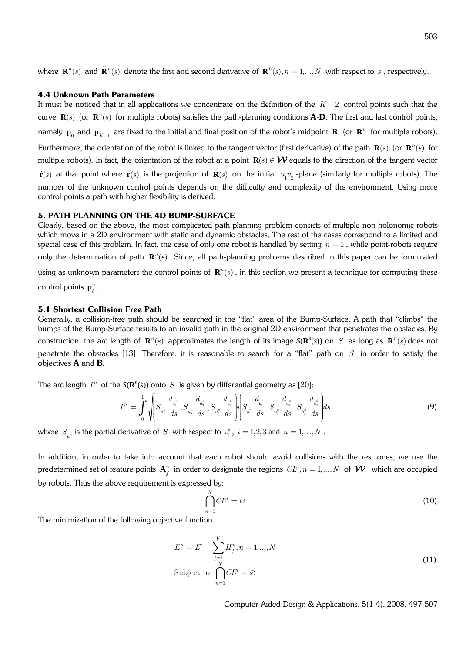where  $\dot{\mathbf{R}}^n(s)$  and  $\ddot{\mathbf{R}}^n(s)$  denote the first and second derivative of  $\mathbf{R}^n(s), n=1,...,N$  with respect to  $s$  , respectively.

#### **4.4 Unknown Path Parameters**

It must be noticed that in all applications we concentrate on the definition of the  $K-2$  control points such that the curve  $\mathbf{R}(s)$  (or  $\mathbf{R}^n(s)$  for multiple robots) satisfies the path-planning conditions  $\bf{A}\text{-} \bf{D}$ . The first and last control points, namely  $p_0$  and  $p_{K-1}$  are fixed to the initial and final position of the robot's midpoint **R** (or  $\mathbf{R}^n$  for multiple robots). Furthermore, the orientation of the robot is linked to the tangent vector (first derivative) of the path  $\mathbf{R}(s)$  (or  $\mathbf{R}^n(s)$  for multiple robots). In fact, the orientation of the robot at a point  $\mathbf{R}(s) \in \mathcal{W}$  equals to the direction of the tangent vector  $\dot{\mathbf{r}}(s)$  at that point where  $\mathbf{r}(s)$  is the projection of  $\mathbf{R}(s)$  on the initial  $u_1u_2$ -plane (similarly for multiple robots). The number of the unknown control points depends on the difficulty and complexity of the environment. Using more control points a path with higher flexibility is derived.

## **5. PATH PLANNING ON THE 4D BUMP-SURFACE**

Clearly, based on the above, the most complicated path-planning problem consists of multiple non-holonomic robots which move in a 2D environment with static and dynamic obstacles. The rest of the cases correspond to a limited and special case of this problem. In fact, the case of only one robot is handled by setting  $n=1$  , while point-robots require only the determination of path  $\mathbf{R}^n(s)$ . Since, all path-planning problems described in this paper can be formulated using as unknown parameters the control points of  $\mathbf{R}^n(s)$  , in this section we present a technique for computing these control points  $\mathbf{p}_{\delta}^n$ .

#### **5.1 Shortest Collision Free Path**

Generally, a collision-free path should be searched in the "flat" area of the Bump-Surface. A path that "climbs" the bumps of the Bump-Sur[face r](#page-10-10)esults to an invalid path in the original 2D environment that penetrates the obstacles. By construction, the arc length of  $\mathbf{R}^n(s)$  approximates the length of its image  $S(\mathbf{R}^n(s))$  on  $S$  as long as  $\mathbf{R}^n(s)$  does not penetrate the obstacles [13]. Therefore, it is reasonable to search for a"[flat"](#page-10-15) path on *S* in order to satisfy the objectives **A** and **B**.

The arc length  $L^n$  of the  $S(\mathbf{R}^n(s))$  onto  $S$  is given by differential geometry as [20]:

$$
L^{n} = \int_{0}^{1} \sqrt{\left(S_{u_{1}^{n}} \frac{d_{u_{1}^{n}}}{ds}, S_{u_{2}^{n}} \frac{d_{u_{2}^{n}}}{ds}, S_{u_{3}^{n}} \frac{d_{u_{3}^{n}}}{ds}\right)} \cdot \left(S_{u_{1}^{n}} \frac{d_{u_{1}^{n}}}{ds}, S_{u_{2}^{n}} \frac{d_{u_{2}^{n}}}{ds}, S_{u_{3}^{n}} \frac{d_{u_{3}^{n}}}{ds}\right) ds
$$
\n
$$
\tag{9}
$$

where  $S_{u_i^n}$  is the partial derivative of  $S$  with respect to  $u_i^n$ ,  $i = 1,2,3$  and  $n = 1,...,N$  . *i*

In addition, in order to take into account that each robot should avoid collisions with the rest ones, we use the predetermined set of feature points  $\mathbf{A}_f^n$  in order to designate the regions  $\mathit{CL}^n, n=1,...,N$  of  $\mathcal W$  which are occupied by robots. Thus the above requirement is expressed by:

$$
\bigcap_{n=1}^{N} CL^n = \varnothing \tag{10}
$$

The minimization of the following objective function

$$
E^{n} = L^{n} + \sum_{f=1}^{V} H_{f}^{n}, n = 1,...,N
$$
  
Subject to 
$$
\bigcap_{n=1}^{N} CL^{n} = \varnothing
$$
 (11)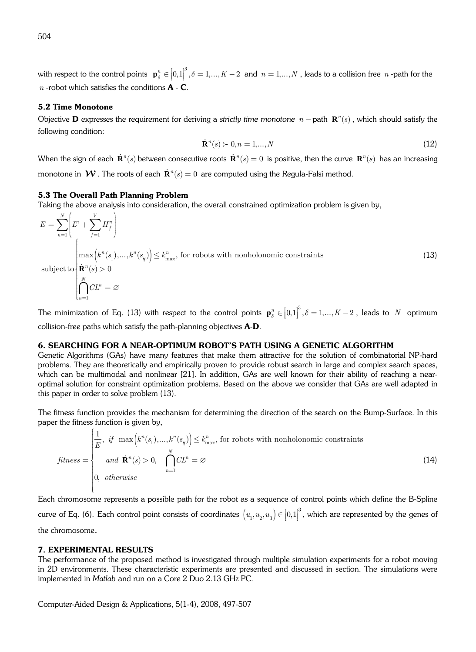with respect to the control points  $\mathbf{p}_{\delta}^{n} \in [0,1]^3$ ,  $\delta = 1,..., K-2$  and  $n = 1,..., N$  , leads to a collision free  $n$  -path for the *n* -robot which satisfies the conditions **A** - **C**.

## **5.2 Time Monotone**

Objective  $D$  expresses the requirement for deriving a strictly time monotone  $n$  – path  $R^n(s)$  , which should satisfy the following condition:

<span id="page-7-0"></span>
$$
\dot{\mathbf{R}}^{n}(s) \succ 0, n = 1, \dots, N
$$
\n<sup>(12)</sup>

When the sign of each  $\dot{\bf R}^n(s)$  between consecutive roots  $\dot{\bf R}^n(s)=0$  is positive, then the curve  ${\bf R}^n(s)$  has an increasing monotone in  $\mathcal W$  . The roots of each  $\mathbf R^n(s)=0$  are computed using the Regula-Falsi method.

#### **5.3 The Overall Path Planning Problem**

Taking the above analysis into consideration, the overall constrained optimization problem is given by,

$$
E = \sum_{n=1}^{N} \left( L^n + \sum_{f=1}^{V} H_f^n \right)
$$
  
\n
$$
\left( \max \left( k^n(s_1), \dots, k^n(s_\gamma) \right) \le k_{\text{max}}^n, \text{ for robots with nonholonomic constraints} \right)
$$
  
\nsubject to  
\n
$$
\left( \prod_{n=1}^{N} CL^n = \varnothing \right)
$$
 (13)

The minimization of Eq. [\(13\)](#page-7-0) with respect to the control points  $\mathbf{p}_{\delta}^{n} \in [0,1]^{3}, \delta = 1,..., K-2$ , leads to *N* optimum 1 collision-free paths which satisfy the path-planning objectives **A**-**D**.

#### **6. SEARCHING FOR A NEAR-OPTIMUM ROBOT'S PATH USING A GENETIC ALGORITHM**

Genetic Algorithms (GAs) have many features that make them attractive for the solution of combinatorial NP-hard problems. They are theoretically and empirically proven to provide robust search in large and complex search spaces, which can be multimodal and nonlinear [\[21\].](#page-10-16) In addition, GAs are well known for their ability of reaching a nearoptimal solution for constraint optimization problems. Based on the above we consider that GAs are well adapted in this paper in order [to solve problem](#page-7-0) (13).

The fitness function provides the mechanism for determining the direction of the search on the Bump-Surface. In this paper the fitness function is given by,

$$
fitness = \begin{cases} \frac{1}{E}, & \text{if } \max\left(k^n(s_1),\dots,k^n(s_\gamma)\right) \le k_{\max}^n, \text{ for robots with nonholonomic constraints} \\ & \text{and } \mathbf{R}^n(s) > 0, \quad \bigcap_{n=1}^N CL^n = \varnothing \\ 0, & \text{otherwise} \end{cases}
$$
(14)

Each chromosome represents a possible path for the robot as a sequence of control points which define the B-Spline curve of Eq. [\(6\).](#page-5-1) Each control point consists of coordinates  $(u_1, u_2, u_3) \in [0,1]^3$ , which are represented by the genes of the chromosome.

## **7. EXPERIMENTAL RESULTS**

The performance of the proposed method is investigated through multiple simulation experiments for a robot moving in 2D environments. These characteristic experiments are presented and discussed in section. The simulations were implemented in *Matlab* and run on a Core 2 Duo 2.13 GHz PC.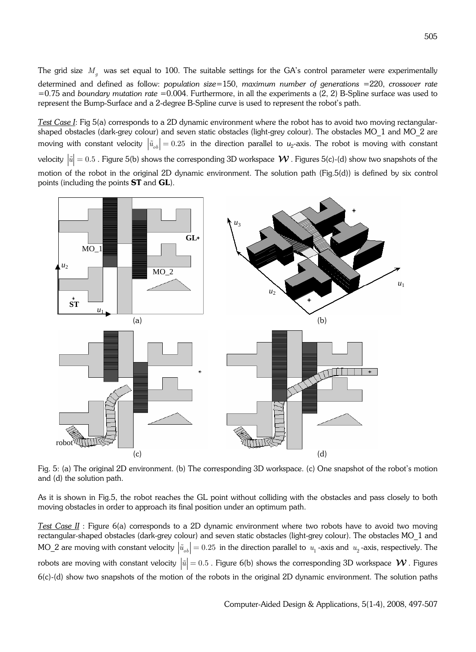The grid size *M<sup>g</sup>* was set equal to 100. The suitable settings for the GA's control parameter were experimentally determined and defined as follow: *population size*=150, *maximum number of generations* =220, *crossover rate* =0.75 and *boundary mutation rate* =0.004. Furthermore, in all the experiments a (2, 2) B-Spline surface was used to represent the Bump-Surface and a 2-degree B-Spline curve is used to represent the robot's path.

*Test Case I*: Fig 5(a) corresponds to a 2D dynamic environment where the robot has to avoid two moving rectangularshaped obstacles (dark-grey colour) and seven static obstacles (light-grey colour). The obstacles MO\_1 and MO\_2 are moving with constant velocity  $\left|\tilde{u}_{ob}\right|=0.25\;$  in the direction parallel to  $u_2$ -axis. The robot is moving with constant velocity  $|\tilde{u}| = 0.5$ . Figure 5(b) shows the corresponding 3D workspace  $\mathcal{W}$ . Figures 5(c)-(d) show two snapshots of the motion of the robot in the original 2D dynamic environment. The solution path (Fig.5(d)) is defined by six control points (including the points **ST** and **GL**).



Fig. 5: (a) The original 2D environment. (b) The corresponding 3D workspace. (c) One snapshot of the robot's motion and (d) the solution path.

As it is shown in Fig.5, the robot reaches the GL point without colliding with the obstacles and pass closely to both moving obstacles in order to approach its final position under an optimum path.

*Test Case II* : Figure 6(a) corresponds to a 2D dynamic environment where two robots have to avoid two moving rectangular-shaped obstacles (dark-grey colour) and seven static obstacles (light-grey colour). The obstacles MO\_1 and MO\_2 are moving with constant velocity  $\big|\tilde u_{ob}\big|=0.25\,$  in the direction parallel to  $\,u_{_1}$  -axis and  $\,u_{_2}$  -axis, respectively. The robots are moving with constant velocity  $|\tilde{u}| = 0.5$ . Figure 6(b) shows the corresponding 3D workspace  $\mathcal{W}$ . Figures 6(c)-(d) show two snapshots of the motion of the robots in the original 2D dynamic environment. The solution paths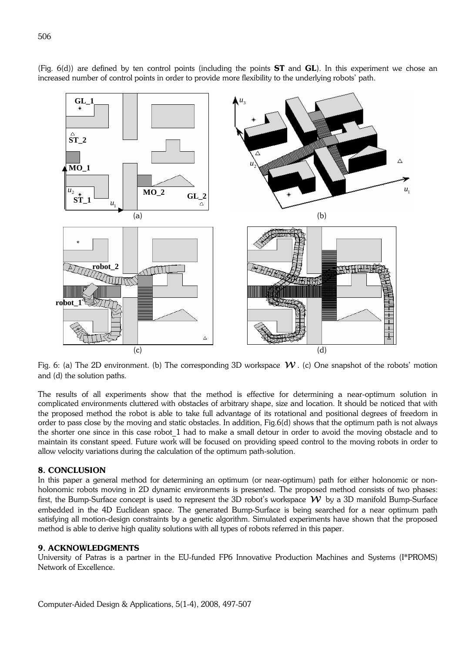

(Fig. 6(d)) are defined by ten control points (including the points **ST** and **GL**). In this experiment we chose an increased number of control points in order to provide more flexibility to the underlying robots' path.

Fig. 6: (a) The 2D environment. (b) The corresponding 3D workspace  $W$ . (c) One snapshot of the robots' motion and (d) the solution paths.

The results of all experiments show that the method is effective for determining a near-optimum solution in complicated environments cluttered with obstacles of arbitrary shape, size and location. It should be noticed that with the proposed method the robot is able to take full advantage of its rotational and positional degrees of freedom in order to pass close by the moving and static obstacles. In addition, Fig.6(d) shows that the optimum path is not always the shorter one since in this case robot\_1 had to make a small detour in order to avoid the moving obstacle and to maintain its constant speed. Future work will be focused on providing speed control to the moving robots in order to allow velocity variations during the calculation of the optimum path-solution.

## **8. CONCLUSION**

In this paper a general method for determining an optimum (or near-optimum) path for either holonomic or nonholonomic robots moving in 2D dynamic environments is presented. The proposed method consists of two phases: first, the Bump-Surface concept is used to represent the 3D robot's workspace  $W$  by a 3D manifold Bump-Surface embedded in the 4D Euclidean space. The generated Bump-Surface is being searched for a near optimum path satisfying all motion-design constraints by a genetic algorithm. Simulated experiments have shown that the proposed method is able to derive high quality solutions with all types of robots referred in this paper.

## **9. ACKNOWLEDGMENTS**

University of Patras is a partner in the EU-funded FP6 Innovative Production Machines and Systems (I\*PROMS) Network of Excellence.